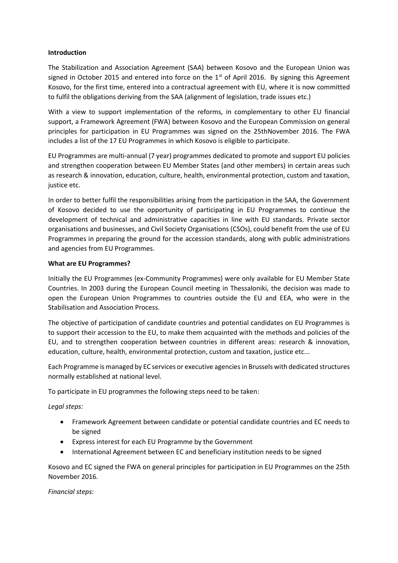### **Introduction**

The Stabilization and Association Agreement (SAA) between Kosovo and the European Union was signed in October 2015 and entered into force on the  $1<sup>st</sup>$  of April 2016. By signing this Agreement Kosovo, for the first time, entered into a contractual agreement with EU, where it is now committed to fulfil the obligations deriving from the SAA (alignment of legislation, trade issues etc.)

With a view to support implementation of the reforms, in complementary to other EU financial support, a Framework Agreement (FWA) between Kosovo and the European Commission on general principles for participation in EU Programmes was signed on the 25thNovember 2016. The FWA includes a list of the 17 EU Programmes in which Kosovo is eligible to participate.

EU Programmes are multi‐annual (7 year) programmes dedicated to promote and support EU policies and strengthen cooperation between EU Member States (and other members) in certain areas such as research & innovation, education, culture, health, environmental protection, custom and taxation, justice etc.

In order to better fulfil the responsibilities arising from the participation in the SAA, the Government of Kosovo decided to use the opportunity of participating in EU Programmes to continue the development of technical and administrative capacities in line with EU standards. Private sector organisations and businesses, and Civil Society Organisations (CSOs), could benefit from the use of EU Programmes in preparing the ground for the accession standards, along with public administrations and agencies from EU Programmes.

# **What are EU Programmes?**

Initially the EU Programmes (ex-Community Programmes) were only available for EU Member State Countries. In 2003 during the European Council meeting in Thessaloniki, the decision was made to open the European Union Programmes to countries outside the EU and EEA, who were in the Stabilisation and Association Process.

The objective of participation of candidate countries and potential candidates on EU Programmes is to support their accession to the EU, to make them acquainted with the methods and policies of the EU, and to strengthen cooperation between countries in different areas: research & innovation, education, culture, health, environmental protection, custom and taxation, justice etc...

Each Programme is managed by EC services or executive agenciesin Brussels with dedicated structures normally established at national level.

To participate in EU programmes the following steps need to be taken:

*Legal steps:*

- Framework Agreement between candidate or potential candidate countries and EC needs to be signed
- Express interest for each EU Programme by the Government
- International Agreement between EC and beneficiary institution needs to be signed

Kosovo and EC signed the FWA on general principles for participation in EU Programmes on the 25th November 2016.

### *Financial steps:*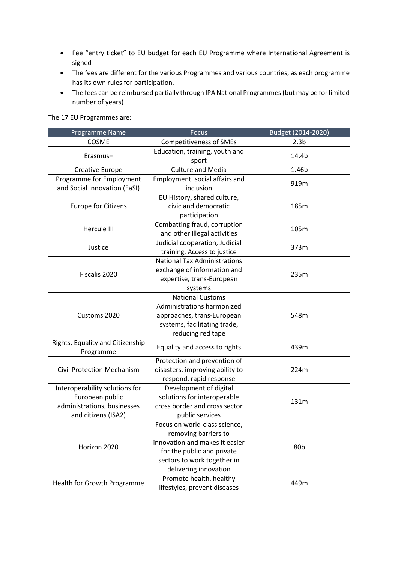- Fee "entry ticket" to EU budget for each EU Programme where International Agreement is signed
- The fees are different for the various Programmes and various countries, as each programme has its own rules for participation.
- The fees can be reimbursed partially through IPA National Programmes (but may be for limited number of years)

| Programme Name                                                                                          | <b>Focus</b>                                                                                                                                                                  | Budget (2014-2020) |
|---------------------------------------------------------------------------------------------------------|-------------------------------------------------------------------------------------------------------------------------------------------------------------------------------|--------------------|
| COSME                                                                                                   | <b>Competitiveness of SMEs</b>                                                                                                                                                | 2.3 <sub>b</sub>   |
| Erasmus+                                                                                                | Education, training, youth and<br>sport                                                                                                                                       | 14.4b              |
| <b>Creative Europe</b>                                                                                  | <b>Culture and Media</b>                                                                                                                                                      | 1.46b              |
| Programme for Employment<br>and Social Innovation (EaSI)                                                | Employment, social affairs and<br>inclusion                                                                                                                                   | 919m               |
| <b>Europe for Citizens</b>                                                                              | EU History, shared culture,<br>civic and democratic<br>participation                                                                                                          | 185m               |
| Hercule III                                                                                             | Combatting fraud, corruption<br>and other illegal activities                                                                                                                  | 105m               |
| Justice                                                                                                 | Judicial cooperation, Judicial<br>training, Access to justice                                                                                                                 | 373m               |
| Fiscalis 2020                                                                                           | <b>National Tax Administrations</b><br>exchange of information and<br>expertise, trans-European<br>systems                                                                    | 235m               |
| Customs 2020                                                                                            | <b>National Customs</b><br>Administrations harmonized<br>approaches, trans-European<br>systems, facilitating trade,<br>reducing red tape                                      | 548m               |
| Rights, Equality and Citizenship<br>Programme                                                           | Equality and access to rights                                                                                                                                                 | 439m               |
| <b>Civil Protection Mechanism</b>                                                                       | Protection and prevention of<br>disasters, improving ability to<br>respond, rapid response                                                                                    | 224m               |
| Interoperability solutions for<br>European public<br>administrations, businesses<br>and citizens (ISA2) | Development of digital<br>solutions for interoperable<br>cross border and cross sector<br>public services                                                                     | 131m               |
| Horizon 2020                                                                                            | Focus on world-class science,<br>removing barriers to<br>innovation and makes it easier<br>for the public and private<br>sectors to work together in<br>delivering innovation | 80b                |
| Health for Growth Programme                                                                             | Promote health, healthy<br>lifestyles, prevent diseases                                                                                                                       | 449m               |

The 17 EU Programmes are: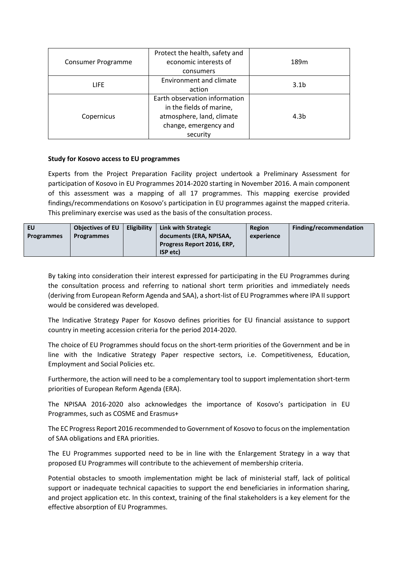| Consumer Programme | Protect the health, safety and |                  |
|--------------------|--------------------------------|------------------|
|                    | economic interests of          | 189 <sub>m</sub> |
|                    | consumers                      |                  |
| <b>LIFE</b>        | Environment and climate        | 3.1 <sub>b</sub> |
|                    | action                         |                  |
| Copernicus         | Earth observation information  |                  |
|                    | in the fields of marine,       |                  |
|                    | atmosphere, land, climate      | 4.3b             |
|                    | change, emergency and          |                  |
|                    | security                       |                  |

# **Study for Kosovo access to EU programmes**

Experts from the Project Preparation Facility project undertook a Preliminary Assessment for participation of Kosovo in EU Programmes 2014-2020 starting in November 2016. A main component of this assessment was a mapping of all 17 programmes. This mapping exercise provided findings/recommendations on Kosovo's participation in EU programmes against the mapped criteria. This preliminary exercise was used as the basis of the consultation process.

| EU                | <b>Objectives of EU</b> | <b>Eligibility</b> | <b>Link with Strategic</b>        | Region     | Finding/recommendation |
|-------------------|-------------------------|--------------------|-----------------------------------|------------|------------------------|
| <b>Programmes</b> | <b>Programmes</b>       |                    | documents (ERA, NPISAA,           | experience |                        |
|                   |                         |                    | <b>Progress Report 2016, ERP,</b> |            |                        |
|                   |                         |                    | ISP etc)                          |            |                        |

By taking into consideration their interest expressed for participating in the EU Programmes during the consultation process and referring to national short term priorities and immediately needs (deriving from European Reform Agenda and SAA), a short-list of EU Programmes where IPA II support would be considered was developed.

The Indicative Strategy Paper for Kosovo defines priorities for EU financial assistance to support country in meeting accession criteria for the period 2014-2020.

The choice of EU Programmes should focus on the short-term priorities of the Government and be in line with the Indicative Strategy Paper respective sectors, i.e. Competitiveness, Education, Employment and Social Policies etc.

Furthermore, the action will need to be a complementary tool to support implementation short-term priorities of European Reform Agenda (ERA).

The NPISAA 2016-2020 also acknowledges the importance of Kosovo's participation in EU Programmes, such as COSME and Erasmus+

The EC Progress Report 2016 recommended to Government of Kosovo to focus on the implementation of SAA obligations and ERA priorities.

The EU Programmes supported need to be in line with the Enlargement Strategy in a way that proposed EU Programmes will contribute to the achievement of membership criteria.

Potential obstacles to smooth implementation might be lack of ministerial staff, lack of political support or inadequate technical capacities to support the end beneficiaries in information sharing, and project application etc. In this context, training of the final stakeholders is a key element for the effective absorption of EU Programmes.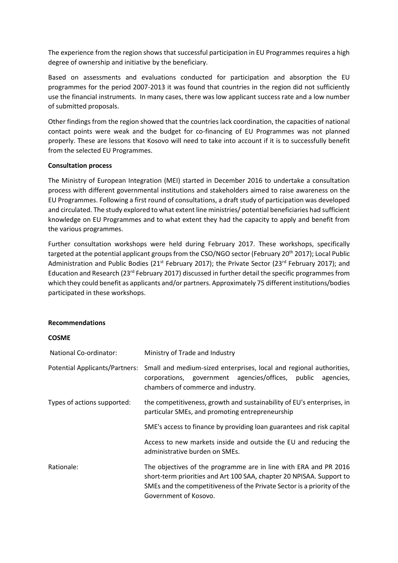The experience from the region shows that successful participation in EU Programmes requires a high degree of ownership and initiative by the beneficiary.

Based on assessments and evaluations conducted for participation and absorption the EU programmes for the period 2007-2013 it was found that countries in the region did not sufficiently use the financial instruments. In many cases, there was low applicant success rate and a low number of submitted proposals.

Other findings from the region showed that the countries lack coordination, the capacities of national contact points were weak and the budget for co-financing of EU Programmes was not planned properly. These are lessons that Kosovo will need to take into account if it is to successfully benefit from the selected EU Programmes.

# **Consultation process**

The Ministry of European Integration (MEI) started in December 2016 to undertake a consultation process with different governmental institutions and stakeholders aimed to raise awareness on the EU Programmes. Following a first round of consultations, a draft study of participation was developed and circulated. The study explored to what extent line ministries/ potential beneficiaries had sufficient knowledge on EU Programmes and to what extent they had the capacity to apply and benefit from the various programmes.

Further consultation workshops were held during February 2017. These workshops, specifically targeted at the potential applicant groups from the CSO/NGO sector (February 20<sup>th</sup> 2017); Local Public Administration and Public Bodies ( $21<sup>st</sup>$  February 2017); the Private Sector ( $23<sup>rd</sup>$  February 2017); and Education and Research (23rd February 2017) discussed in further detail the specific programmes from which they could benefit as applicants and/or partners. Approximately 75 different institutions/bodies participated in these workshops.

### **Recommendations**

### **COSME**

| National Co-ordinator:      | Ministry of Trade and Industry                                                                                                                                                                                                               |
|-----------------------------|----------------------------------------------------------------------------------------------------------------------------------------------------------------------------------------------------------------------------------------------|
|                             | Potential Applicants/Partners: Small and medium-sized enterprises, local and regional authorities,<br>corporations, government agencies/offices, public<br>agencies,<br>chambers of commerce and industry.                                   |
| Types of actions supported: | the competitiveness, growth and sustainability of EU's enterprises, in<br>particular SMEs, and promoting entrepreneurship                                                                                                                    |
|                             | SME's access to finance by providing loan guarantees and risk capital                                                                                                                                                                        |
|                             | Access to new markets inside and outside the EU and reducing the<br>administrative burden on SMEs.                                                                                                                                           |
| Rationale:                  | The objectives of the programme are in line with ERA and PR 2016<br>short-term priorities and Art 100 SAA, chapter 20 NPISAA. Support to<br>SMEs and the competitiveness of the Private Sector is a priority of the<br>Government of Kosovo. |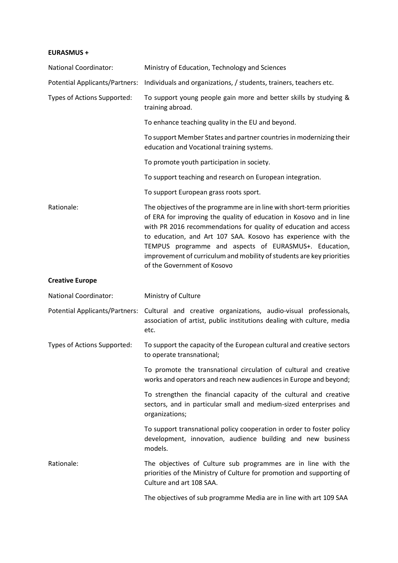### **EURASMUS +**

| <b>National Coordinator:</b>          | Ministry of Education, Technology and Sciences                                                                                                                                                                                                                                                                                                                                                                                                      |
|---------------------------------------|-----------------------------------------------------------------------------------------------------------------------------------------------------------------------------------------------------------------------------------------------------------------------------------------------------------------------------------------------------------------------------------------------------------------------------------------------------|
| <b>Potential Applicants/Partners:</b> | Individuals and organizations, / students, trainers, teachers etc.                                                                                                                                                                                                                                                                                                                                                                                  |
| Types of Actions Supported:           | To support young people gain more and better skills by studying &<br>training abroad.                                                                                                                                                                                                                                                                                                                                                               |
|                                       | To enhance teaching quality in the EU and beyond.                                                                                                                                                                                                                                                                                                                                                                                                   |
|                                       | To support Member States and partner countries in modernizing their<br>education and Vocational training systems.                                                                                                                                                                                                                                                                                                                                   |
|                                       | To promote youth participation in society.                                                                                                                                                                                                                                                                                                                                                                                                          |
|                                       | To support teaching and research on European integration.                                                                                                                                                                                                                                                                                                                                                                                           |
|                                       | To support European grass roots sport.                                                                                                                                                                                                                                                                                                                                                                                                              |
| Rationale:                            | The objectives of the programme are in line with short-term priorities<br>of ERA for improving the quality of education in Kosovo and in line<br>with PR 2016 recommendations for quality of education and access<br>to education, and Art 107 SAA. Kosovo has experience with the<br>TEMPUS programme and aspects of EURASMUS+. Education,<br>improvement of curriculum and mobility of students are key priorities<br>of the Government of Kosovo |
| <b>Creative Europe</b>                |                                                                                                                                                                                                                                                                                                                                                                                                                                                     |
| <b>National Coordinator:</b>          | Ministry of Culture                                                                                                                                                                                                                                                                                                                                                                                                                                 |
| Potential Applicants/Partners:        | Cultural and creative organizations, audio-visual professionals,<br>association of artist, public institutions dealing with culture, media<br>etc.                                                                                                                                                                                                                                                                                                  |
| Types of Actions Supported:           | To support the capacity of the European cultural and creative sectors<br>to operate transnational;                                                                                                                                                                                                                                                                                                                                                  |
|                                       | To promote the transnational circulation of cultural and creative<br>works and operators and reach new audiences in Europe and beyond;                                                                                                                                                                                                                                                                                                              |
|                                       | To strengthen the financial capacity of the cultural and creative<br>sectors, and in particular small and medium-sized enterprises and<br>organizations;                                                                                                                                                                                                                                                                                            |
|                                       | To support transnational policy cooperation in order to foster policy<br>development, innovation, audience building and new business<br>models.                                                                                                                                                                                                                                                                                                     |
| Rationale:                            | The objectives of Culture sub programmes are in line with the<br>priorities of the Ministry of Culture for promotion and supporting of<br>Culture and art 108 SAA.                                                                                                                                                                                                                                                                                  |
|                                       |                                                                                                                                                                                                                                                                                                                                                                                                                                                     |